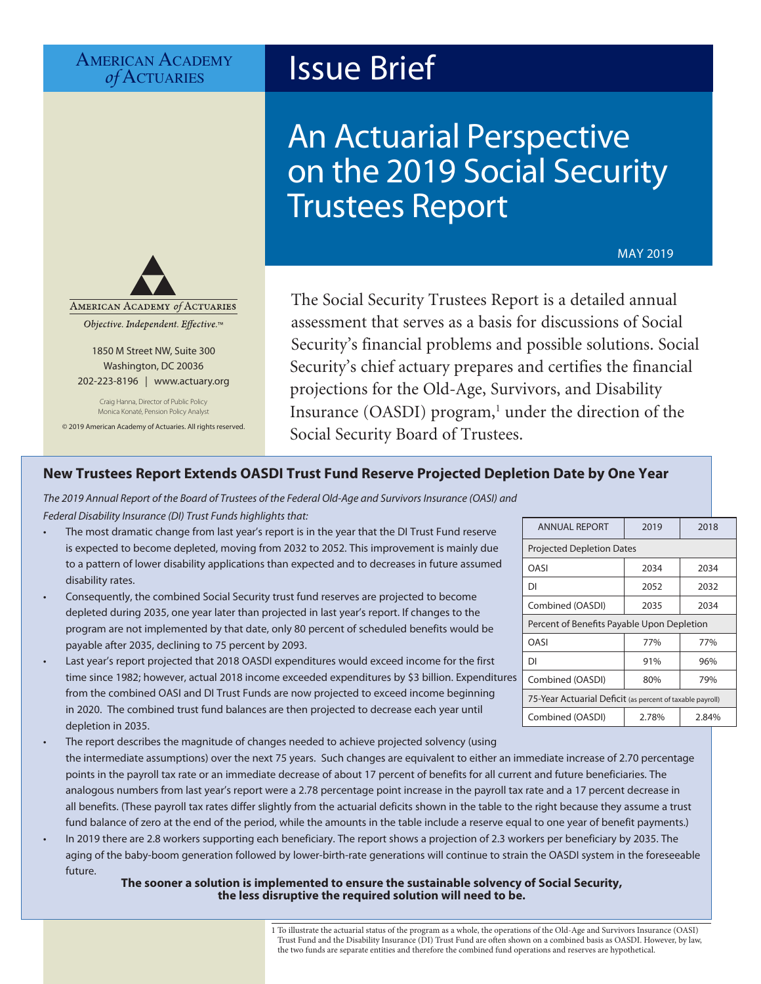# AMERICAN ACADEMY<br> *of* ACTUARIES

1850 M Street NW, Suite 300 Washington, DC 20036 202-223-8196 | [www.actuary.org](http://www.actuary.org) Craig Hanna, Director of Public Policy Monica Konaté, Pension Policy Analyst © 2019 American Academy of Actuaries. All rights reserved.

AMERICAN ACADEMY of ACTUARIES Objective. Independent. Effective.™

# **Issue Brief**

# An Actuarial Perspective on the 2019 Social Security Trustees Report

MAY 2019

The Social Security Trustees Report is a detailed annual assessment that serves as a basis for discussions of Social Security's financial problems and possible solutions. Social Security's chief actuary prepares and certifies the financial projections for the Old-Age, Survivors, and Disability Insurance (OASDI) program,<sup>1</sup> under the direction of the Social Security Board of Trustees.

### **New Trustees Report Extends OASDI Trust Fund Reserve Projected Depletion Date by One Year**

*The 2019 Annual Report of the Board of Trustees of the Federal Old-Age and Survivors Insurance (OASI) and Federal Disability Insurance (DI) Trust Funds highlights that:*

- The most dramatic change from last year's report is in the year that the DI Trust Fund reserve is expected to become depleted, moving from 2032 to 2052. This improvement is mainly due to a pattern of lower disability applications than expected and to decreases in future assumed disability rates.
- Consequently, the combined Social Security trust fund reserves are projected to become depleted during 2035, one year later than projected in last year's report. If changes to the program are not implemented by that date, only 80 percent of scheduled benefits would be payable after 2035, declining to 75 percent by 2093.
	- Last year's report projected that 2018 OASDI expenditures would exceed income for the first time since 1982; however, actual 2018 income exceeded expenditures by \$3 billion. Expenditures from the combined OASI and DI Trust Funds are now projected to exceed income beginning in 2020. The combined trust fund balances are then projected to decrease each year until depletion in 2035.
- The report describes the magnitude of changes needed to achieve projected solvency (using the intermediate assumptions) over the next 75 years. Such changes are equivalent to either an immediate increase of 2.70 percentage points in the payroll tax rate or an immediate decrease of about 17 percent of benefits for all current and future beneficiaries. The analogous numbers from last year's report were a 2.78 percentage point increase in the payroll tax rate and a 17 percent decrease in all benefits. (These payroll tax rates differ slightly from the actuarial deficits shown in the table to the right because they assume a trust fund balance of zero at the end of the period, while the amounts in the table include a reserve equal to one year of benefit payments.)
- In 2019 there are 2.8 workers supporting each beneficiary. The report shows a projection of 2.3 workers per beneficiary by 2035. The aging of the baby-boom generation followed by lower-birth-rate generations will continue to strain the OASDI system in the foreseeable future.

#### **The sooner a solution is implemented to ensure the sustainable solvency of Social Security, the less disruptive the required solution will need to be.**

|                                                           | <u> 2012</u> | 201 V |  |
|-----------------------------------------------------------|--------------|-------|--|
| <b>Projected Depletion Dates</b>                          |              |       |  |
| OASI                                                      | 2034         | 2034  |  |
| DI                                                        | 2052         | 2032  |  |
| Combined (OASDI)                                          | 2035         | 2034  |  |
| Percent of Benefits Payable Upon Depletion                |              |       |  |
| OASI                                                      | 77%          | 77%   |  |
| DI                                                        | 91%          | 96%   |  |
| Combined (OASDI)                                          | 80%          | 79%   |  |
| 75-Year Actuarial Deficit (as percent of taxable payroll) |              |       |  |
| Combined (OASDI)                                          | 2.78%        | 2.84% |  |

 $\frac{1}{2018}$  ANNUAL REPORT  $\frac{1}{2019}$  2018

1 To illustrate the actuarial status of the program as a whole, the operations of the Old-Age and Survivors Insurance (OASI) Trust Fund and the Disability Insurance (DI) Trust Fund are often shown on a combined basis as OASDI. However, by law, the two funds are separate entities and therefore the combined fund operations and reserves are hypothetical.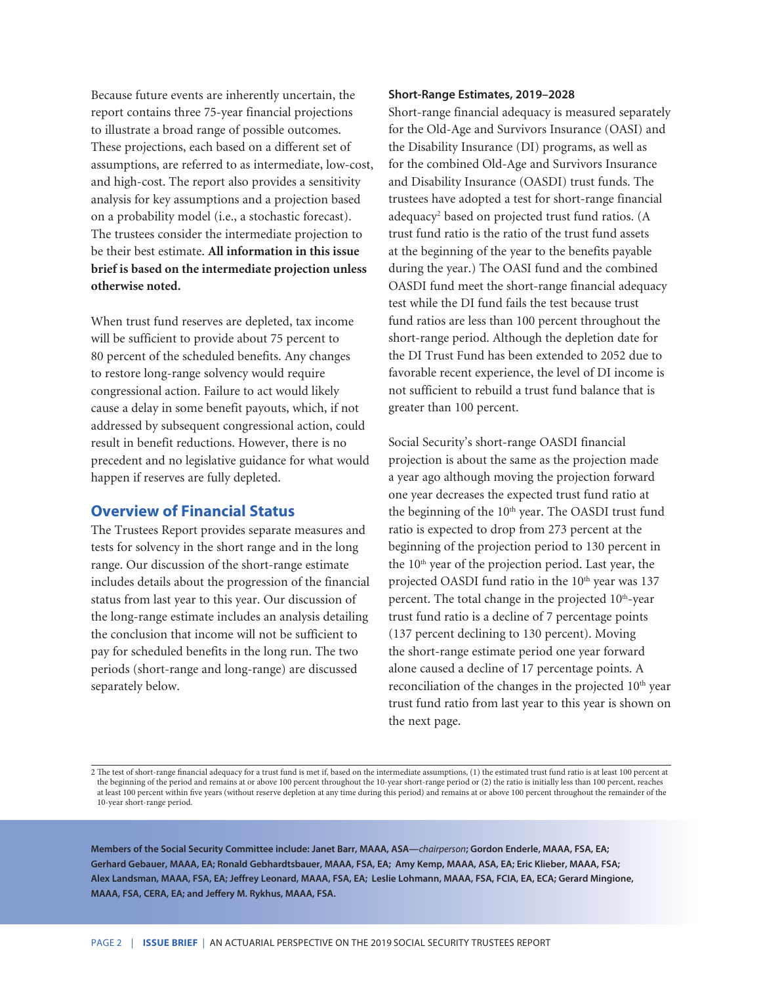Because future events are inherently uncertain, the report contains three 75-year financial projections to illustrate a broad range of possible outcomes. These projections, each based on a different set of assumptions, are referred to as intermediate, low-cost, and high-cost. The report also provides a sensitivity analysis for key assumptions and a projection based on a probability model (i.e., a stochastic forecast). The trustees consider the intermediate projection to be their best estimate. **All information in this issue brief is based on the intermediate projection unless otherwise noted.**

When trust fund reserves are depleted, tax income will be sufficient to provide about 75 percent to 80 percent of the scheduled benefits. Any changes to restore long-range solvency would require congressional action. Failure to act would likely cause a delay in some benefit payouts, which, if not addressed by subsequent congressional action, could result in benefit reductions. However, there is no precedent and no legislative guidance for what would happen if reserves are fully depleted.

### **Overview of Financial Status**

The Trustees Report provides separate measures and tests for solvency in the short range and in the long range. Our discussion of the short-range estimate includes details about the progression of the financial status from last year to this year. Our discussion of the long-range estimate includes an analysis detailing the conclusion that income will not be sufficient to pay for scheduled benefits in the long run. The two periods (short-range and long-range) are discussed separately below.

#### **Short-Range Estimates, 2019–2028**

Short-range financial adequacy is measured separately for the Old-Age and Survivors Insurance (OASI) and the Disability Insurance (DI) programs, as well as for the combined Old-Age and Survivors Insurance and Disability Insurance (OASDI) trust funds. The trustees have adopted a test for short-range financial adequacy2 based on projected trust fund ratios. (A trust fund ratio is the ratio of the trust fund assets at the beginning of the year to the benefits payable during the year.) The OASI fund and the combined OASDI fund meet the short-range financial adequacy test while the DI fund fails the test because trust fund ratios are less than 100 percent throughout the short-range period. Although the depletion date for the DI Trust Fund has been extended to 2052 due to favorable recent experience, the level of DI income is not sufficient to rebuild a trust fund balance that is greater than 100 percent.

Social Security's short-range OASDI financial projection is about the same as the projection made a year ago although moving the projection forward one year decreases the expected trust fund ratio at the beginning of the 10<sup>th</sup> year. The OASDI trust fund ratio is expected to drop from 273 percent at the beginning of the projection period to 130 percent in the 10th year of the projection period. Last year, the projected OASDI fund ratio in the 10<sup>th</sup> year was 137 percent. The total change in the projected  $10<sup>th</sup>$ -year trust fund ratio is a decline of 7 percentage points (137 percent declining to 130 percent). Moving the short-range estimate period one year forward alone caused a decline of 17 percentage points. A reconciliation of the changes in the projected 10<sup>th</sup> year trust fund ratio from last year to this year is shown on the next page.

2 The test of short-range financial adequacy for a trust fund is met if, based on the intermediate assumptions, (1) the estimated trust fund ratio is at least 100 percent at the beginning of the period and remains at or above 100 percent throughout the 10-year short-range period or (2) the ratio is initially less than 100 percent, reaches at least 100 percent within five years (without reserve depletion at any time during this period) and remains at or above 100 percent throughout the remainder of the 10-year short-range period.

**Members of the Social Security Committee include: Janet Barr, MAAA, ASA—***chairperson***; Gordon Enderle, MAAA, FSA, EA; Gerhard Gebauer, MAAA, EA; Ronald Gebhardtsbauer, MAAA, FSA, EA; Amy Kemp, MAAA, ASA, EA; Eric Klieber, MAAA, FSA; Alex Landsman, MAAA, FSA, EA; Jeffrey Leonard, MAAA, FSA, EA; Leslie Lohmann, MAAA, FSA, FCIA, EA, ECA; Gerard Mingione, MAAA, FSA, CERA, EA; and Jeffery M. Rykhus, MAAA, FSA.**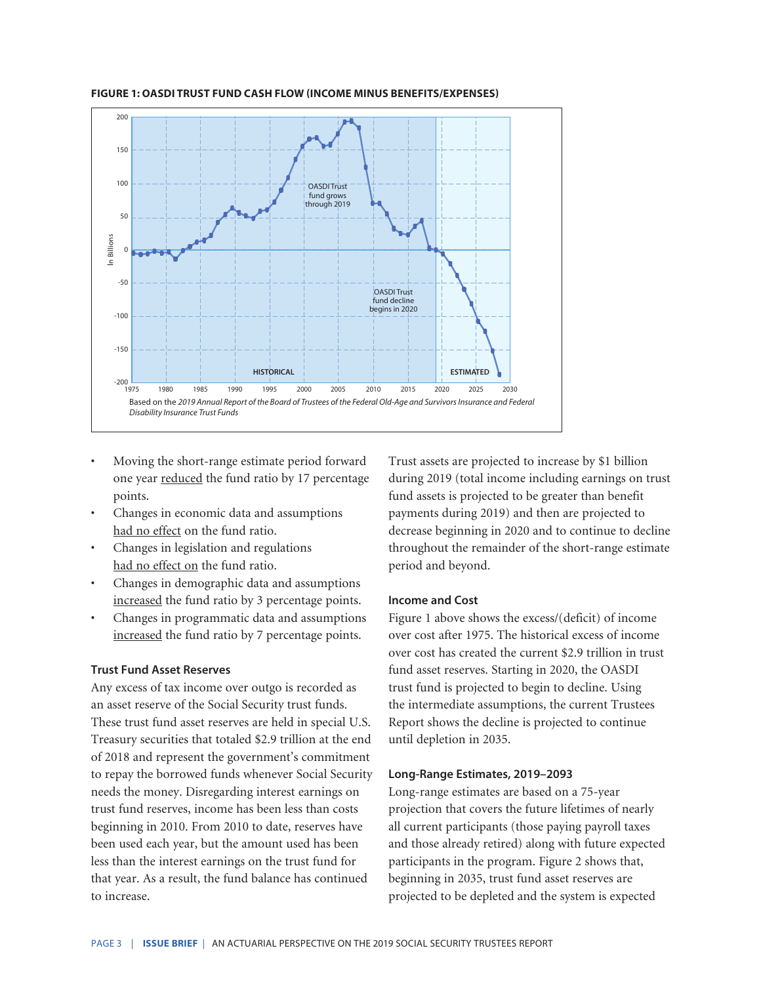

**FIGURE 1: OASDI TRUST FUND CASH FLOW (INCOME MINUS BENEFITS/EXPENSES)**

- Moving the short-range estimate period forward one year reduced the fund ratio by 17 percentage points.
- Changes in economic data and assumptions had no effect on the fund ratio.
- Changes in legislation and regulations had no effect on the fund ratio.
- Changes in demographic data and assumptions increased the fund ratio by 3 percentage points.
- Changes in programmatic data and assumptions increased the fund ratio by 7 percentage points.

#### **Trust Fund Asset Reserves**

Any excess of tax income over outgo is recorded as an asset reserve of the Social Security trust funds. These trust fund asset reserves are held in special U.S. Treasury securities that totaled \$2.9 trillion at the end of 2018 and represent the government's commitment to repay the borrowed funds whenever Social Security needs the money. Disregarding interest earnings on trust fund reserves, income has been less than costs beginning in 2010. From 2010 to date, reserves have been used each year, but the amount used has been less than the interest earnings on the trust fund for that year. As a result, the fund balance has continued to increase.

Trust assets are projected to increase by \$1 billion during 2019 (total income including earnings on trust fund assets is projected to be greater than benefit payments during 2019) and then are projected to decrease beginning in 2020 and to continue to decline throughout the remainder of the short-range estimate period and beyond.

#### **Income and Cost**

Figure 1 above shows the excess/(deficit) of income over cost after 1975. The historical excess of income over cost has created the current \$2.9 trillion in trust fund asset reserves. Starting in 2020, the OASDI trust fund is projected to begin to decline. Using the intermediate assumptions, the current Trustees Report shows the decline is projected to continue until depletion in 2035.

#### **Long-Range Estimates, 2019–2093**

Long-range estimates are based on a 75-year projection that covers the future lifetimes of nearly all current participants (those paying payroll taxes and those already retired) along with future expected participants in the program. Figure 2 shows that, beginning in 2035, trust fund asset reserves are projected to be depleted and the system is expected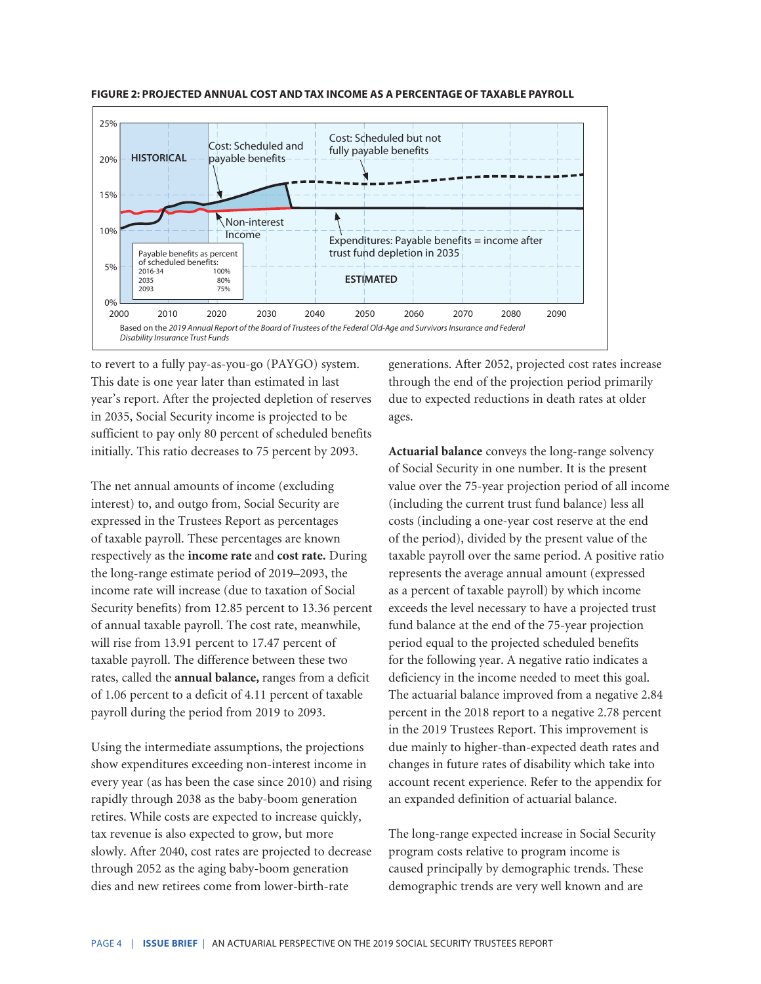

**FIGURE 2: PROJECTED ANNUAL COST AND TAX INCOME AS A PERCENTAGE OF TAXABLE PAYROLL**

to revert to a fully pay-as-you-go (PAYGO) system. This date is one year later than estimated in last year's report. After the projected depletion of reserves in 2035, Social Security income is projected to be sufficient to pay only 80 percent of scheduled benefits initially. This ratio decreases to 75 percent by 2093.

The net annual amounts of income (excluding interest) to, and outgo from, Social Security are expressed in the Trustees Report as percentages of taxable payroll. These percentages are known respectively as the **income rate** and **cost rate.** During the long-range estimate period of 2019–2093, the income rate will increase (due to taxation of Social Security benefits) from 12.85 percent to 13.36 percent of annual taxable payroll. The cost rate, meanwhile, will rise from 13.91 percent to 17.47 percent of taxable payroll. The difference between these two rates, called the **annual balance,** ranges from a deficit of 1.06 percent to a deficit of 4.11 percent of taxable payroll during the period from 2019 to 2093.

Using the intermediate assumptions, the projections show expenditures exceeding non-interest income in every year (as has been the case since 2010) and rising rapidly through 2038 as the baby-boom generation retires. While costs are expected to increase quickly, tax revenue is also expected to grow, but more slowly. After 2040, cost rates are projected to decrease through 2052 as the aging baby-boom generation dies and new retirees come from lower-birth-rate

generations. After 2052, projected cost rates increase through the end of the projection period primarily due to expected reductions in death rates at older ages.

**Actuarial balance** conveys the long-range solvency of Social Security in one number. It is the present value over the 75-year projection period of all income (including the current trust fund balance) less all costs (including a one-year cost reserve at the end of the period), divided by the present value of the taxable payroll over the same period. A positive ratio represents the average annual amount (expressed as a percent of taxable payroll) by which income exceeds the level necessary to have a projected trust fund balance at the end of the 75-year projection period equal to the projected scheduled benefits for the following year. A negative ratio indicates a deficiency in the income needed to meet this goal. The actuarial balance improved from a negative 2.84 percent in the 2018 report to a negative 2.78 percent in the 2019 Trustees Report. This improvement is due mainly to higher-than-expected death rates and changes in future rates of disability which take into account recent experience. Refer to the appendix for an expanded definition of actuarial balance.

The long-range expected increase in Social Security program costs relative to program income is caused principally by demographic trends. These demographic trends are very well known and are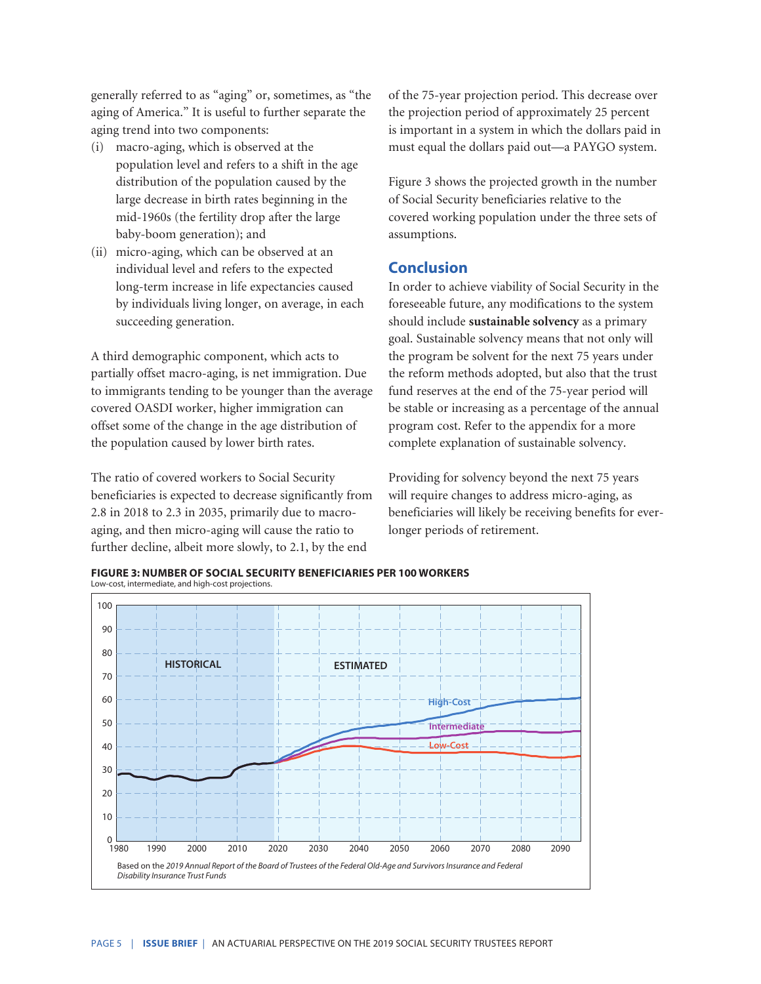generally referred to as "aging" or, sometimes, as "the aging of America." It is useful to further separate the aging trend into two components:

- (i) macro-aging, which is observed at the population level and refers to a shift in the age distribution of the population caused by the large decrease in birth rates beginning in the mid-1960s (the fertility drop after the large baby-boom generation); and
- (ii) micro-aging, which can be observed at an individual level and refers to the expected long-term increase in life expectancies caused by individuals living longer, on average, in each succeeding generation.

A third demographic component, which acts to partially offset macro-aging, is net immigration. Due to immigrants tending to be younger than the average covered OASDI worker, higher immigration can offset some of the change in the age distribution of the population caused by lower birth rates.

The ratio of covered workers to Social Security beneficiaries is expected to decrease significantly from 2.8 in 2018 to 2.3 in 2035, primarily due to macroaging, and then micro-aging will cause the ratio to further decline, albeit more slowly, to 2.1, by the end

of the 75-year projection period. This decrease over the projection period of approximately 25 percent is important in a system in which the dollars paid in must equal the dollars paid out—a PAYGO system.

Figure 3 shows the projected growth in the number of Social Security beneficiaries relative to the covered working population under the three sets of assumptions.

# **Conclusion**

In order to achieve viability of Social Security in the foreseeable future, any modifications to the system should include **sustainable solvency** as a primary goal. Sustainable solvency means that not only will the program be solvent for the next 75 years under the reform methods adopted, but also that the trust fund reserves at the end of the 75-year period will be stable or increasing as a percentage of the annual program cost. Refer to the appendix for a more complete explanation of sustainable solvency.

Providing for solvency beyond the next 75 years will require changes to address micro-aging, as beneficiaries will likely be receiving benefits for everlonger periods of retirement.

**FIGURE 3: NUMBER OF SOCIAL SECURITY BENEFICIARIES PER 100 WORKERS** Low-cost, intermediate, and high-cost projections.

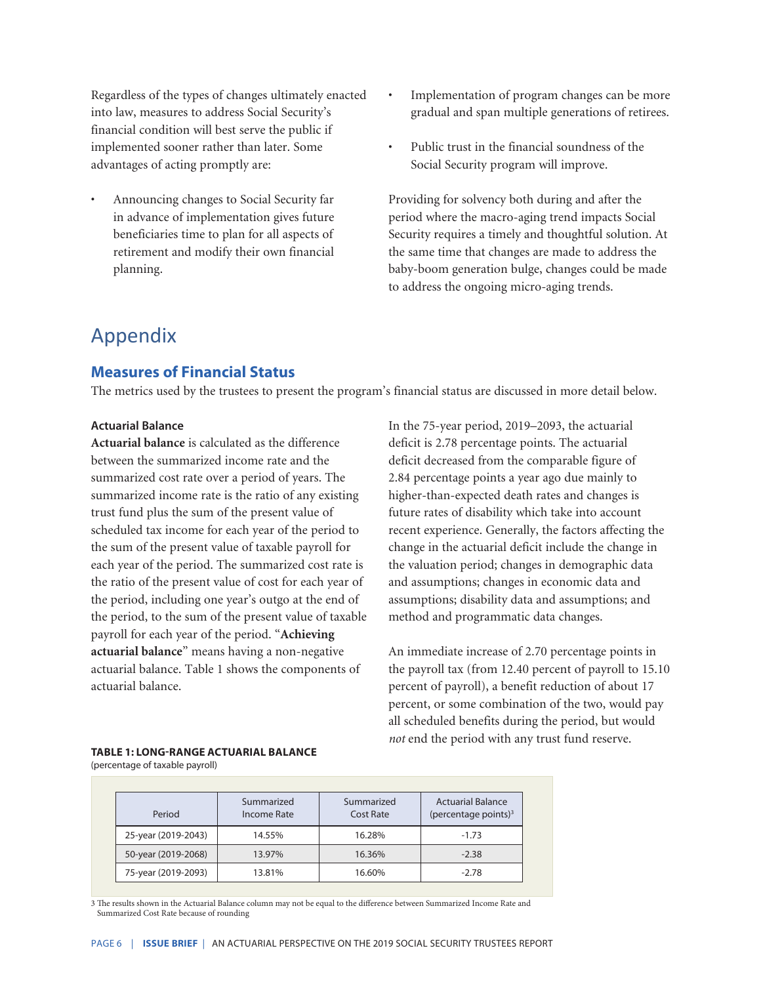Regardless of the types of changes ultimately enacted into law, measures to address Social Security's financial condition will best serve the public if implemented sooner rather than later. Some advantages of acting promptly are:

- Announcing changes to Social Security far in advance of implementation gives future beneficiaries time to plan for all aspects of retirement and modify their own financial planning.
- Implementation of program changes can be more gradual and span multiple generations of retirees.
- Public trust in the financial soundness of the Social Security program will improve.

Providing for solvency both during and after the period where the macro-aging trend impacts Social Security requires a timely and thoughtful solution. At the same time that changes are made to address the baby-boom generation bulge, changes could be made to address the ongoing micro-aging trends.

# Appendix

## **Measures of Financial Status**

The metrics used by the trustees to present the program's financial status are discussed in more detail below.

#### **Actuarial Balance**

**Actuarial balance** is calculated as the difference between the summarized income rate and the summarized cost rate over a period of years. The summarized income rate is the ratio of any existing trust fund plus the sum of the present value of scheduled tax income for each year of the period to the sum of the present value of taxable payroll for each year of the period. The summarized cost rate is the ratio of the present value of cost for each year of the period, including one year's outgo at the end of the period, to the sum of the present value of taxable payroll for each year of the period. "**Achieving actuarial balance**" means having a non-negative actuarial balance. Table 1 shows the components of actuarial balance.

In the 75-year period, 2019–2093, the actuarial deficit is 2.78 percentage points. The actuarial deficit decreased from the comparable figure of 2.84 percentage points a year ago due mainly to higher-than-expected death rates and changes is future rates of disability which take into account recent experience. Generally, the factors affecting the change in the actuarial deficit include the change in the valuation period; changes in demographic data and assumptions; changes in economic data and assumptions; disability data and assumptions; and method and programmatic data changes.

An immediate increase of 2.70 percentage points in the payroll tax (from 12.40 percent of payroll to 15.10 percent of payroll), a benefit reduction of about 17 percent, or some combination of the two, would pay all scheduled benefits during the period, but would *not* end the period with any trust fund reserve.

# **TABLE 1: LONG-RANGE ACTUARIAL BALANCE**

(percentage of taxable payroll)

| Period              | Summarized<br>Income Rate | Summarized<br>Cost Rate | <b>Actuarial Balance</b><br>(percentage points) $3$ |
|---------------------|---------------------------|-------------------------|-----------------------------------------------------|
| 25-year (2019-2043) | 14.55%                    | 16.28%                  | $-1.73$                                             |
| 50-year (2019-2068) | 13.97%                    | 16.36%                  | $-2.38$                                             |
| 75-year (2019-2093) | 13.81%                    | 16.60%                  | $-2.78$                                             |

3 The results shown in the Actuarial Balance column may not be equal to the difference between Summarized Income Rate and Summarized Cost Rate because of rounding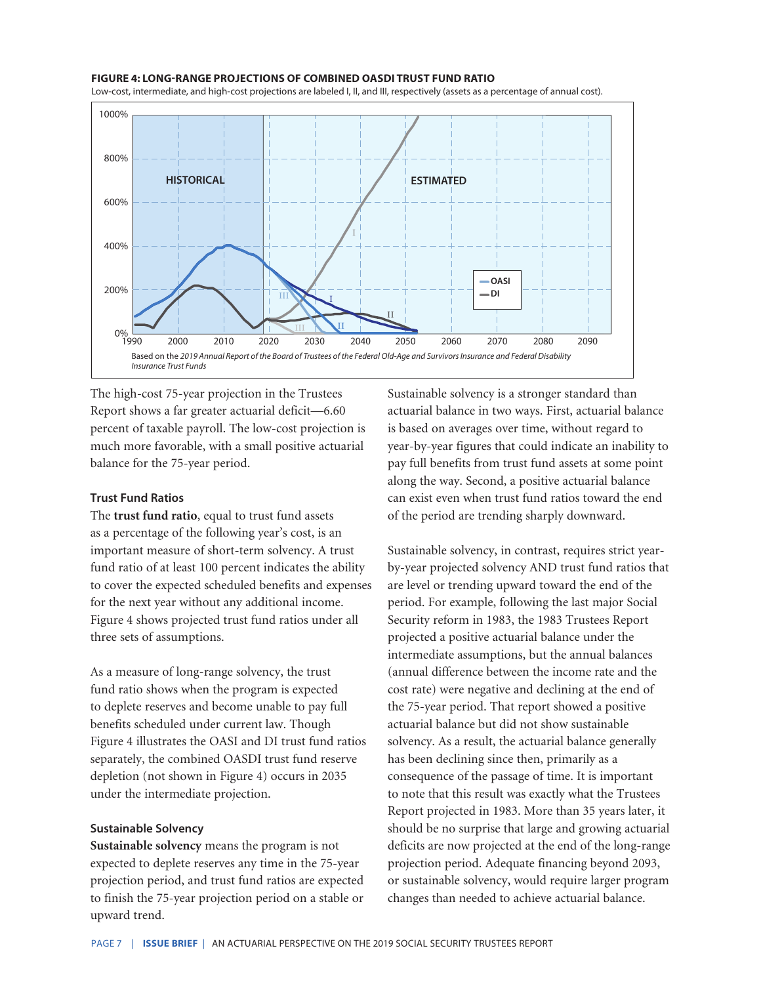#### **FIGURE 4: LONG-RANGE PROJECTIONS OF COMBINED OASDI TRUST FUND RATIO**

Low-cost, intermediate, and high-cost projections are labeled I, II, and III, respectively (assets as a percentage of annual cost).



The high-cost 75-year projection in the Trustees Report shows a far greater actuarial deficit—6.60 percent of taxable payroll. The low-cost projection is much more favorable, with a small positive actuarial balance for the 75-year period.

#### **Trust Fund Ratios**

The **trust fund ratio**, equal to trust fund assets as a percentage of the following year's cost, is an important measure of short-term solvency. A trust fund ratio of at least 100 percent indicates the ability to cover the expected scheduled benefits and expenses for the next year without any additional income. Figure 4 shows projected trust fund ratios under all three sets of assumptions.

As a measure of long-range solvency, the trust fund ratio shows when the program is expected to deplete reserves and become unable to pay full benefits scheduled under current law. Though Figure 4 illustrates the OASI and DI trust fund ratios separately, the combined OASDI trust fund reserve depletion (not shown in Figure 4) occurs in 2035 under the intermediate projection.

#### **Sustainable Solvency**

**Sustainable solvency** means the program is not expected to deplete reserves any time in the 75-year projection period, and trust fund ratios are expected to finish the 75-year projection period on a stable or upward trend.

Sustainable solvency is a stronger standard than actuarial balance in two ways. First, actuarial balance is based on averages over time, without regard to year-by-year figures that could indicate an inability to pay full benefits from trust fund assets at some point along the way. Second, a positive actuarial balance can exist even when trust fund ratios toward the end of the period are trending sharply downward.

Sustainable solvency, in contrast, requires strict yearby-year projected solvency AND trust fund ratios that are level or trending upward toward the end of the period. For example, following the last major Social Security reform in 1983, the 1983 Trustees Report projected a positive actuarial balance under the intermediate assumptions, but the annual balances (annual difference between the income rate and the cost rate) were negative and declining at the end of the 75-year period. That report showed a positive actuarial balance but did not show sustainable solvency. As a result, the actuarial balance generally has been declining since then, primarily as a consequence of the passage of time. It is important to note that this result was exactly what the Trustees Report projected in 1983. More than 35 years later, it should be no surprise that large and growing actuarial deficits are now projected at the end of the long-range projection period. Adequate financing beyond 2093, or sustainable solvency, would require larger program changes than needed to achieve actuarial balance.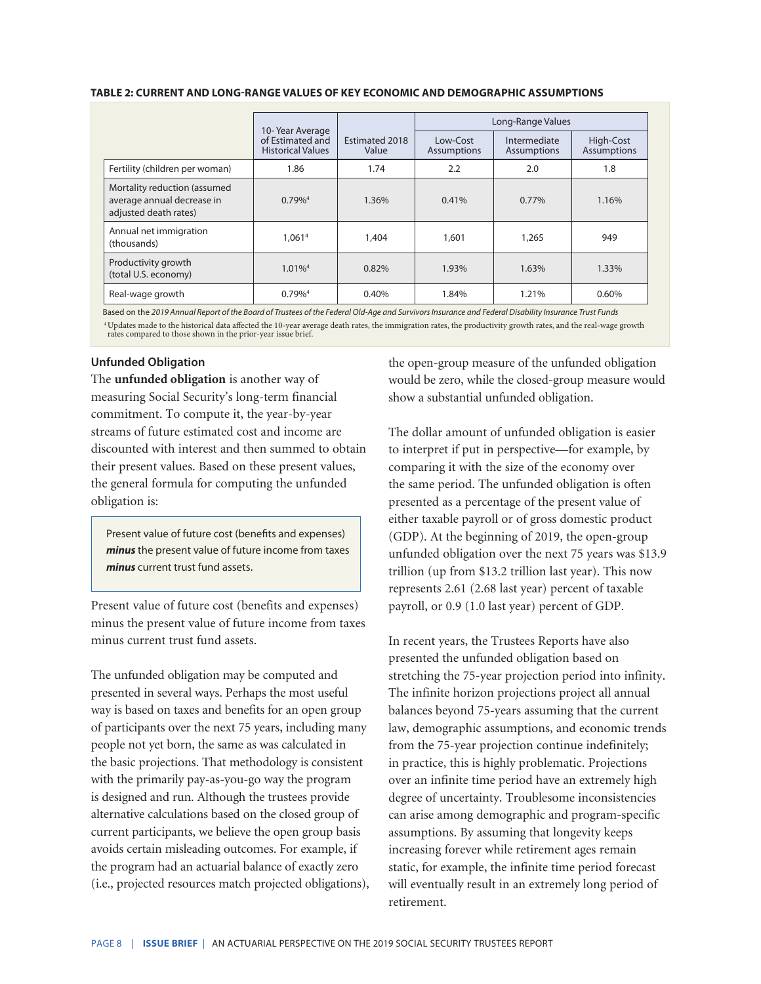|                                                                                     | 10-Year Average<br>of Estimated and<br><b>Historical Values</b> |                         | Long-Range Values       |                             |                                 |
|-------------------------------------------------------------------------------------|-----------------------------------------------------------------|-------------------------|-------------------------|-----------------------------|---------------------------------|
|                                                                                     |                                                                 | Estimated 2018<br>Value | Low-Cost<br>Assumptions | Intermediate<br>Assumptions | High-Cost<br><b>Assumptions</b> |
| Fertility (children per woman)                                                      | 1.86                                                            | 1.74                    | 2.2                     | 2.0                         | 1.8                             |
| Mortality reduction (assumed<br>average annual decrease in<br>adjusted death rates) | $0.79\%$ <sup>4</sup>                                           | 1.36%                   | 0.41%                   | $0.77\%$                    | 1.16%                           |
| Annual net immigration<br>(thousands)                                               | 1.061 <sup>4</sup>                                              | 1,404                   | 1,601                   | 1,265                       | 949                             |
| Productivity growth<br>(total U.S. economy)                                         | $1.01\%$ <sup>4</sup>                                           | 0.82%                   | 1.93%                   | 1.63%                       | 1.33%                           |
| Real-wage growth                                                                    | $0.79\%$ <sup>4</sup>                                           | 0.40%                   | 1.84%                   | 1.21%                       | 0.60%                           |

#### **TABLE 2: CURRENT AND LONG-RANGE VALUES OF KEY ECONOMIC AND DEMOGRAPHIC ASSUMPTIONS**

Based on the *2019 Annual Report of the Board of Trustees of the Federal Old-Age and Survivors Insurance and Federal Disability Insurance Trust Funds* 4 Updates made to the historical data affected the 10-year average death rates, the immigration rates, the productivity growth rates, and the real-wage growth rates compared to those shown in the prior-year issue brief.

#### **Unfunded Obligation**

The **unfunded obligation** is another way of measuring Social Security's long-term financial commitment. To compute it, the year-by-year streams of future estimated cost and income are discounted with interest and then summed to obtain their present values. Based on these present values, the general formula for computing the unfunded obligation is:

Present value of future cost (benefits and expenses) *minus* the present value of future income from taxes *minus* current trust fund assets.

Present value of future cost (benefits and expenses) minus the present value of future income from taxes minus current trust fund assets.

The unfunded obligation may be computed and presented in several ways. Perhaps the most useful way is based on taxes and benefits for an open group of participants over the next 75 years, including many people not yet born, the same as was calculated in the basic projections. That methodology is consistent with the primarily pay-as-you-go way the program is designed and run. Although the trustees provide alternative calculations based on the closed group of current participants, we believe the open group basis avoids certain misleading outcomes. For example, if the program had an actuarial balance of exactly zero (i.e., projected resources match projected obligations), the open-group measure of the unfunded obligation would be zero, while the closed-group measure would show a substantial unfunded obligation.

The dollar amount of unfunded obligation is easier to interpret if put in perspective—for example, by comparing it with the size of the economy over the same period. The unfunded obligation is often presented as a percentage of the present value of either taxable payroll or of gross domestic product (GDP). At the beginning of 2019, the open-group unfunded obligation over the next 75 years was \$13.9 trillion (up from \$13.2 trillion last year). This now represents 2.61 (2.68 last year) percent of taxable payroll, or 0.9 (1.0 last year) percent of GDP.

In recent years, the Trustees Reports have also presented the unfunded obligation based on stretching the 75-year projection period into infinity. The infinite horizon projections project all annual balances beyond 75-years assuming that the current law, demographic assumptions, and economic trends from the 75-year projection continue indefinitely; in practice, this is highly problematic. Projections over an infinite time period have an extremely high degree of uncertainty. Troublesome inconsistencies can arise among demographic and program-specific assumptions. By assuming that longevity keeps increasing forever while retirement ages remain static, for example, the infinite time period forecast will eventually result in an extremely long period of retirement.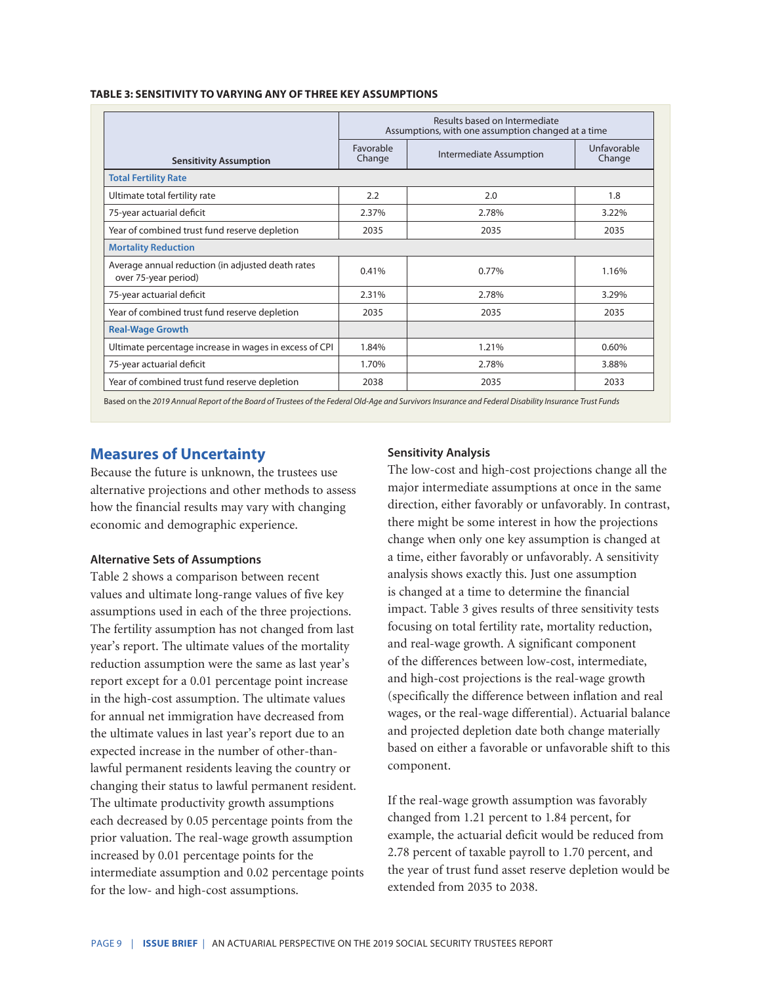| <b>TABLE 3: SENSITIVITY TO VARYING ANY OF THREE KEY ASSUMPTIONS</b> |  |
|---------------------------------------------------------------------|--|
|---------------------------------------------------------------------|--|

| Results based on Intermediate<br>Assumptions, with one assumption changed at a time |                                                        |                       |
|-------------------------------------------------------------------------------------|--------------------------------------------------------|-----------------------|
| Favorable<br>Change                                                                 | Intermediate Assumption                                | Unfavorable<br>Change |
|                                                                                     |                                                        |                       |
| 2.2                                                                                 | 2.0                                                    | 1.8                   |
| 2.37%                                                                               | 2.78%                                                  | 3.22%                 |
| 2035                                                                                | 2035                                                   | 2035                  |
|                                                                                     |                                                        |                       |
| 0.41%                                                                               | 0.77%                                                  | 1.16%                 |
| 2.31%                                                                               | 2.78%                                                  | 3.29%                 |
| 2035                                                                                | 2035                                                   | 2035                  |
|                                                                                     |                                                        |                       |
| 1.84%                                                                               | 1.21%                                                  | 0.60%                 |
| 1.70%                                                                               | 2.78%                                                  | 3.88%                 |
| 2038                                                                                | 2035                                                   | 2033                  |
|                                                                                     | Ultimate percentage increase in wages in excess of CPI |                       |

Based on the *2019 Annual Report of the Board of Trustees of the Federal Old-Age and Survivors Insurance and Federal Disability Insurance Trust Funds*

## **Measures of Uncertainty**

Because the future is unknown, the trustees use alternative projections and other methods to assess how the financial results may vary with changing economic and demographic experience.

#### **Alternative Sets of Assumptions**

Table 2 shows a comparison between recent values and ultimate long-range values of five key assumptions used in each of the three projections. The fertility assumption has not changed from last year's report. The ultimate values of the mortality reduction assumption were the same as last year's report except for a 0.01 percentage point increase in the high-cost assumption. The ultimate values for annual net immigration have decreased from the ultimate values in last year's report due to an expected increase in the number of other-thanlawful permanent residents leaving the country or changing their status to lawful permanent resident. The ultimate productivity growth assumptions each decreased by 0.05 percentage points from the prior valuation. The real-wage growth assumption increased by 0.01 percentage points for the intermediate assumption and 0.02 percentage points for the low- and high-cost assumptions.

#### **Sensitivity Analysis**

The low-cost and high-cost projections change all the major intermediate assumptions at once in the same direction, either favorably or unfavorably. In contrast, there might be some interest in how the projections change when only one key assumption is changed at a time, either favorably or unfavorably. A sensitivity analysis shows exactly this. Just one assumption is changed at a time to determine the financial impact. Table 3 gives results of three sensitivity tests focusing on total fertility rate, mortality reduction, and real-wage growth. A significant component of the differences between low-cost, intermediate, and high-cost projections is the real-wage growth (specifically the difference between inflation and real wages, or the real-wage differential). Actuarial balance and projected depletion date both change materially based on either a favorable or unfavorable shift to this component.

If the real-wage growth assumption was favorably changed from 1.21 percent to 1.84 percent, for example, the actuarial deficit would be reduced from 2.78 percent of taxable payroll to 1.70 percent, and the year of trust fund asset reserve depletion would be extended from 2035 to 2038.